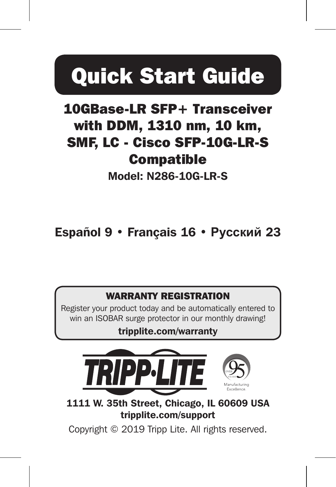# Quick Start Guide

### 10GBase-LR SFP+ Transceiver with DDM, 1310 nm, 10 km, SMF, LC - Cisco SFP-10G-LR-S **Compatible**

Model: N286-10G-LR-S

Español 9 • Français 16 • **Русский** 23

#### WARRANTY REGISTRATION

Register your product today and be automatically entered to win an ISOBAR surge protector in our monthly drawing!

#### tripplite.com/warranty



1111 W. 35th Street, Chicago, IL 60609 USA tripplite.com/support

Copyright © 2019 Tripp Lite. All rights reserved.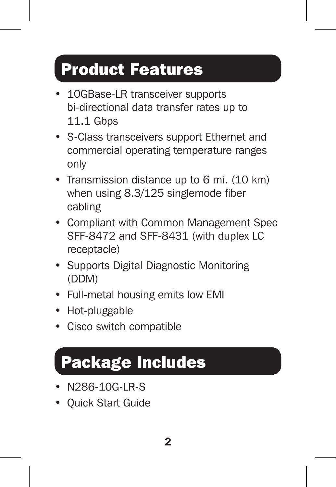### Product Features

- 10GBase-LR transceiver supports bi-directional data transfer rates up to 11.1 Gbps
- S-Class transceivers support Ethernet and commercial operating temperature ranges only
- Transmission distance up to 6 mi. (10 km) when using 8.3/125 singlemode fiber cabling
- Compliant with Common Management Spec SFF-8472 and SFF-8431 (with duplex LC receptacle)
- Supports Digital Diagnostic Monitoring (DDM)
- Full-metal housing emits low EMI
- Hot-pluggable
- Cisco switch compatible

# Package Includes

- N286-10G-LR-S
- Quick Start Guide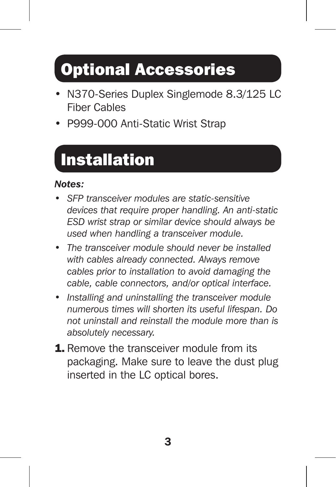## Optional Accessories

- N370-Series Duplex Singlemode 8.3/125 LC Fiber Cables
- P999-000 Anti-Static Wrist Strap

# Installation

#### *Notes:*

- *• SFP transceiver modules are static-sensitive devices that require proper handling. An anti-static ESD wrist strap or similar device should always be used when handling a transceiver module.*
- *The transceiver module should never be installed with cables already connected. Always remove cables prior to installation to avoid damaging the cable, cable connectors, and/or optical interface.*
- *Installing and uninstalling the transceiver module numerous times will shorten its useful lifespan. Do not uninstall and reinstall the module more than is absolutely necessary.*
- **1.** Remove the transceiver module from its packaging. Make sure to leave the dust plug inserted in the LC optical bores.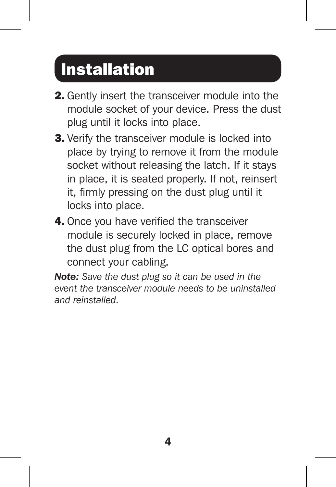### Installation

- 2. Gently insert the transceiver module into the module socket of your device. Press the dust plug until it locks into place.
- **3.** Verify the transceiver module is locked into place by trying to remove it from the module socket without releasing the latch. If it stays in place, it is seated properly. If not, reinsert it, firmly pressing on the dust plug until it locks into place.
- 4. Once you have verified the transceiver module is securely locked in place, remove the dust plug from the LC optical bores and connect your cabling.

*Note: Save the dust plug so it can be used in the event the transceiver module needs to be uninstalled and reinstalled.*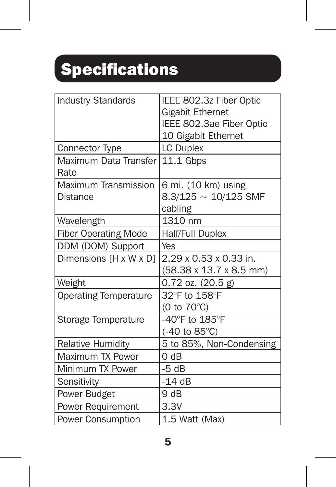# Specifications

| <b>Industry Standards</b>     | IEEE 802.3z Fiber Optic<br><b>Gigabit Ethernet</b><br>IEEE 802.3ae Fiber Optic |
|-------------------------------|--------------------------------------------------------------------------------|
|                               | 10 Gigabit Ethernet                                                            |
| Connector Type                | <b>LC Duplex</b>                                                               |
| Maximum Data Transfer<br>Rate | 11.1 Gbps                                                                      |
| Maximum Transmission          | 6 mi. (10 km) using                                                            |
| Distance                      | $8.3/125 \sim 10/125$ SMF                                                      |
|                               | cabling                                                                        |
| Wavelength                    | 1310 nm                                                                        |
| <b>Fiber Operating Mode</b>   | Half/Full Duplex                                                               |
| DDM (DOM) Support             | Yes                                                                            |
| Dimensions [H x W x D]        | 2.29 x 0.53 x 0.33 in.                                                         |
|                               | (58.38 x 13.7 x 8.5 mm)                                                        |
| Weight                        | $0.72$ oz. $(20.5 g)$                                                          |
| <b>Operating Temperature</b>  | 32°F to 158°F                                                                  |
|                               | (0 to 70°C)                                                                    |
| Storage Temperature           | -40°F to 185°F                                                                 |
|                               | $(-40 \text{ to } 85^{\circ}\text{C})$                                         |
| <b>Relative Humidity</b>      | 5 to 85%, Non-Condensing                                                       |
| Maximum TX Power              | 0 dB                                                                           |
| Minimum TX Power              | $-5 dB$                                                                        |
| Sensitivity                   | $-14dB$                                                                        |
| Power Budget                  | 9dB                                                                            |
| Power Requirement             | 3.3V                                                                           |
| <b>Power Consumption</b>      | 1.5 Watt (Max)                                                                 |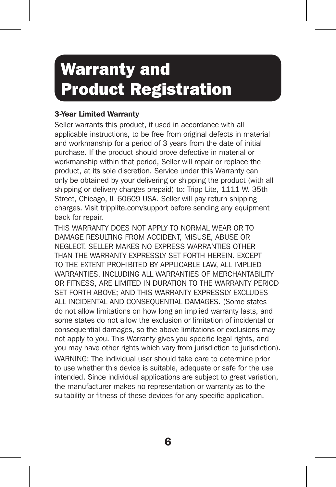### Warranty and Product Registration

#### 3-Year Limited Warranty

Seller warrants this product, if used in accordance with all applicable instructions, to be free from original defects in material and workmanship for a period of 3 years from the date of initial purchase. If the product should prove defective in material or workmanship within that period, Seller will repair or replace the product, at its sole discretion. Service under this Warranty can only be obtained by your delivering or shipping the product (with all shipping or delivery charges prepaid) to: Tripp Lite, 1111 W. 35th Street, Chicago, IL 60609 USA. Seller will pay return shipping charges. Visit tripplite.com/support before sending any equipment back for repair.

THIS WARRANTY DOES NOT APPLY TO NORMAL WEAR OR TO DAMAGE RESULTING FROM ACCIDENT, MISUSE, ABUSE OR NEGLECT. SELLER MAKES NO EXPRESS WARRANTIES OTHER THAN THE WARRANTY EXPRESSLY SET FORTH HEREIN. EXCEPT TO THE EXTENT PROHIBITED BY APPLICABLE LAW, ALL IMPLIED WARRANTIES, INCLUDING ALL WARRANTIES OF MERCHANTABILITY OR FITNESS, ARE LIMITED IN DURATION TO THE WARRANTY PERIOD SET FORTH ABOVE; AND THIS WARRANTY EXPRESSLY EXCLUDES ALL INCIDENTAL AND CONSEQUENTIAL DAMAGES. (Some states do not allow limitations on how long an implied warranty lasts, and some states do not allow the exclusion or limitation of incidental or consequential damages, so the above limitations or exclusions may not apply to you. This Warranty gives you specific legal rights, and you may have other rights which vary from jurisdiction to jurisdiction). WARNING: The individual user should take care to determine prior to use whether this device is suitable, adequate or safe for the use intended. Since individual applications are subject to great variation, the manufacturer makes no representation or warranty as to the suitability or fitness of these devices for any specific application.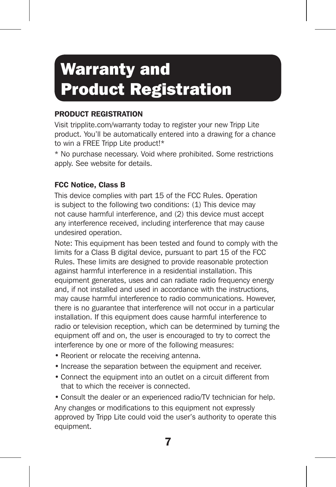### Warranty and Product Registration

#### PRODUCT REGISTRATION

Visit tripplite.com/warranty today to register your new Tripp Lite product. You'll be automatically entered into a drawing for a chance to win a FREE Tripp Lite product!\*

\* No purchase necessary. Void where prohibited. Some restrictions apply. See website for details.

#### FCC Notice, Class B

This device complies with part 15 of the FCC Rules. Operation is subject to the following two conditions: (1) This device may not cause harmful interference, and (2) this device must accept any interference received, including interference that may cause undesired operation.

Note: This equipment has been tested and found to comply with the limits for a Class B digital device, pursuant to part 15 of the FCC Rules. These limits are designed to provide reasonable protection against harmful interference in a residential installation. This equipment generates, uses and can radiate radio frequency energy and, if not installed and used in accordance with the instructions, may cause harmful interference to radio communications. However, there is no guarantee that interference will not occur in a particular installation. If this equipment does cause harmful interference to radio or television reception, which can be determined by turning the equipment off and on, the user is encouraged to try to correct the interference by one or more of the following measures:

- Reorient or relocate the receiving antenna.
- Increase the separation between the equipment and receiver.
- Connect the equipment into an outlet on a circuit different from that to which the receiver is connected.

• Consult the dealer or an experienced radio/TV technician for help. Any changes or modifications to this equipment not expressly approved by Tripp Lite could void the user's authority to operate this equipment.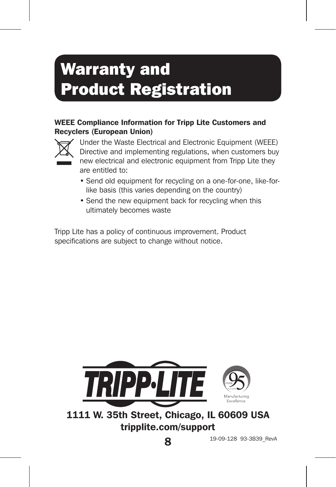### Warranty and Product Registration

#### WEEE Compliance Information for Tripp Lite Customers and Recyclers (European Union)



Under the Waste Electrical and Electronic Equipment (WEEE) Directive and implementing regulations, when customers buy new electrical and electronic equipment from Tripp Lite they are entitled to:

- Send old equipment for recycling on a one-for-one, like-forlike basis (this varies depending on the country)
- Send the new equipment back for recycling when this ultimately becomes waste

Tripp Lite has a policy of continuous improvement. Product specifications are subject to change without notice.



1111 W. 35th Street, Chicago, IL 60609 USA tripplite.com/support

19-09-128 93-3B39\_RevA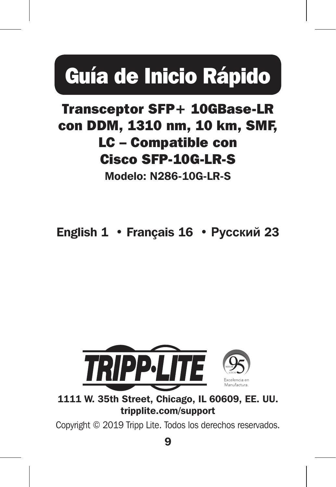# Guía de Inicio Rápido

### Transceptor SFP+ 10GBase-LR con DDM, 1310 nm, 10 km, SMF, LC – Compatible con Cisco SFP-10G-LR-S

Modelo: N286-10G-LR-S

English 1 • Français 16 • **Русский** 23



1111 W. 35th Street, Chicago, IL 60609, EE. UU. tripplite.com/support

Copyright © 2019 Tripp Lite. Todos los derechos reservados.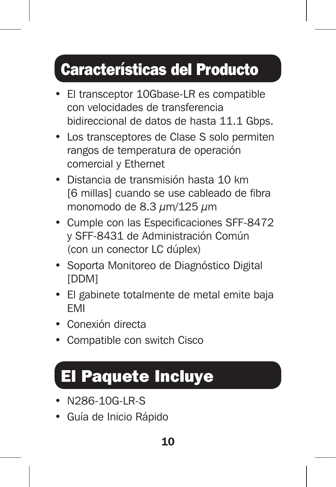### Características del Producto

- El transceptor 10Gbase-LR es compatible con velocidades de transferencia bidireccional de datos de hasta 11.1 Gbps.
- Los transceptores de Clase S solo permiten rangos de temperatura de operación comercial y Ethernet
- Distancia de transmisión hasta 10 km [6 millas] cuando se use cableado de fibra monomodo de  $8.3 \mu m/125 \mu m$
- Cumple con las Especificaciones SFF-8472 y SFF-8431 de Administración Común (con un conector LC dúplex)
- Soporta Monitoreo de Diagnóstico Digital [DDM]
- El gabinete totalmente de metal emite baja EMI
- Conexión directa
- Compatible con switch Cisco

### El Paquete Incluye

- N286-10G-LR-S
- Guía de Inicio Rápido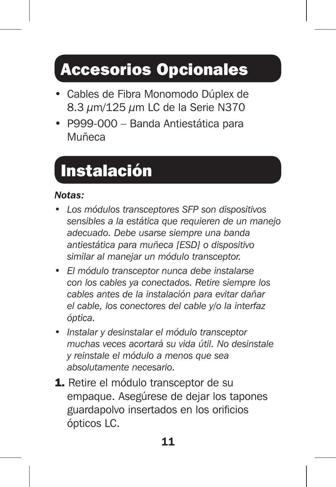### Accesorios Opcionales

- Cables de Fibra Monomodo Dúplex de 8.3  $\mu$ m/125  $\mu$ m LC de la Serie N370
- P999-000 Banda Antiestática para Muñeca

## Instalación

#### *Notas:*

- *• Los módulos transceptores SFP son dispositivos sensibles a la estática que requieren de un manejo adecuado. Debe usarse siempre una banda antiestática para muñeca [ESD] o dispositivo similar al manejar un módulo transceptor.*
- *El módulo transceptor nunca debe instalarse con los cables ya conectados. Retire siempre los cables antes de la instalación para evitar dañar el cable, los conectores del cable y/o la interfaz óptica.*
- *Instalar y desinstalar el módulo transceptor muchas veces acortará su vida útil. No desinstale y reinstale el módulo a menos que sea absolutamente necesario.*
- 1. Retire el módulo transceptor de su empaque. Asegúrese de dejar los tapones guardapolvo insertados en los orificios ópticos LC.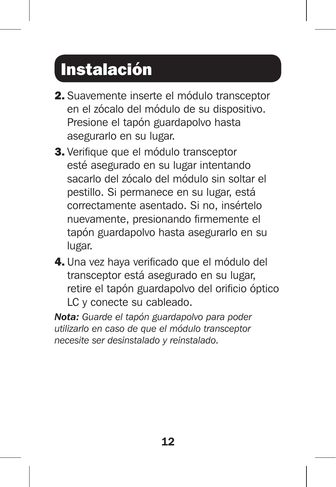## Instalación

- 2. Suavemente inserte el módulo transceptor en el zócalo del módulo de su dispositivo. Presione el tapón guardapolvo hasta asegurarlo en su lugar.
- 3. Verifique que el módulo transceptor esté asegurado en su lugar intentando sacarlo del zócalo del módulo sin soltar el pestillo. Si permanece en su lugar, está correctamente asentado. Si no, insértelo nuevamente, presionando firmemente el tapón guardapolvo hasta asegurarlo en su lugar.
- 4. Una vez haya verificado que el módulo del transceptor está asegurado en su lugar, retire el tapón guardapolvo del orificio óptico LC y conecte su cableado.

*Nota: Guarde el tapón guardapolvo para poder utilizarlo en caso de que el módulo transceptor necesite ser desinstalado y reinstalado.*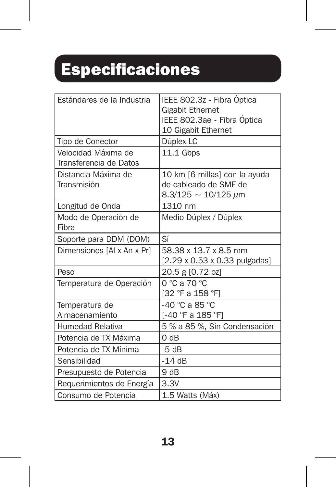# Especificaciones

| Estándares de la Industria                    | IEEE 802.3z - Fibra Óptica<br>Gigabit Ethernet<br>IEEE 802.3ae - Fibra Óptica<br>10 Gigabit Ethernet |
|-----------------------------------------------|------------------------------------------------------------------------------------------------------|
| Tipo de Conector                              | Dúplex LC                                                                                            |
| Velocidad Máxima de<br>Transferencia de Datos | 11.1 Gbps                                                                                            |
| Distancia Máxima de<br>Transmisión            | 10 km [6 millas] con la ayuda<br>de cableado de SMF de<br>$8.3/125 \sim 10/125 \ \mu m$              |
| Longitud de Onda                              | 1310 nm                                                                                              |
| Modo de Operación de<br>Fihra                 | Medio Dúplex / Dúplex                                                                                |
| Soporte para DDM (DOM)                        | Sí                                                                                                   |
| Dimensiones [A] x An x Pr]                    | 58.38 x 13.7 x 8.5 mm<br>[2.29 x 0.53 x 0.33 pulgadas]                                               |
| Peso                                          | 20.5 g [0.72 oz]                                                                                     |
| Temperatura de Operación                      | 0 °C a 70 °C<br>[32 °F a 158 °F1                                                                     |
| Temperatura de<br>Almacenamiento              | $-40$ °C a 85 °C<br>1-40 °F a 185 °F1                                                                |
| Humedad Relativa                              | 5 % a 85 %, Sin Condensación                                                                         |
| Potencia de TX Máxima                         | 0 dB                                                                                                 |
| Potencia de TX Mínima                         | $-5 dB$                                                                                              |
| Sensibilidad                                  | $-14dB$                                                                                              |
| Presupuesto de Potencia                       | 9 dB                                                                                                 |
| Requerimientos de Energía                     | 3.3V                                                                                                 |
| Consumo de Potencia                           | 1.5 Watts (Máx)                                                                                      |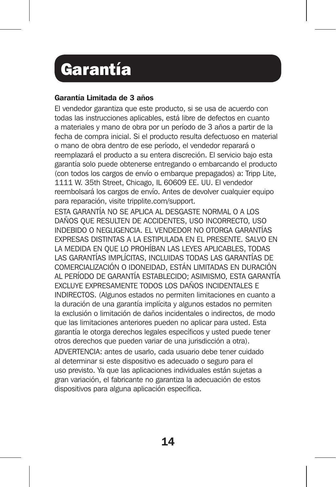### Garantía

#### Garantía Limitada de 3 años

El vendedor garantiza que este producto, si se usa de acuerdo con todas las instrucciones aplicables, está libre de defectos en cuanto a materiales y mano de obra por un período de 3 años a partir de la fecha de compra inicial. Si el producto resulta defectuoso en material o mano de obra dentro de ese período, el vendedor reparará o reemplazará el producto a su entera discreción. El servicio bajo esta garantía solo puede obtenerse entregando o embarcando el producto (con todos los cargos de envío o embarque prepagados) a: Tripp Lite, 1111 W. 35th Street, Chicago, IL 60609 EE. UU. El vendedor reembolsará los cargos de envío. Antes de devolver cualquier equipo para reparación, visite tripplite.com/support.

ESTA GARANTÍA NO SE APLICA AL DESGASTE NORMAL O A LOS DAÑOS QUE RESULTEN DE ACCIDENTES, USO INCORRECTO, USO INDEBIDO O NEGLIGENCIA. EL VENDEDOR NO OTORGA GARANTÍAS EXPRESAS DISTINTAS A LA ESTIPULADA EN EL PRESENTE. SALVO EN LA MEDIDA EN QUE LO PROHÍBAN LAS LEYES APLICABLES, TODAS LAS GARANTÍAS IMPLÍCITAS, INCLUIDAS TODAS LAS GARANTÍAS DE COMERCIALIZACIÓN O IDONEIDAD, ESTÁN LIMITADAS EN DURACIÓN AL PERÍODO DE GARANTÍA ESTABLECIDO; ASIMISMO, ESTA GARANTÍA EXCLUYE EXPRESAMENTE TODOS LOS DAÑOS INCIDENTALES E INDIRECTOS. (Algunos estados no permiten limitaciones en cuanto a la duración de una garantía implícita y algunos estados no permiten la exclusión o limitación de daños incidentales o indirectos, de modo que las limitaciones anteriores pueden no aplicar para usted. Esta garantía le otorga derechos legales específicos y usted puede tener otros derechos que pueden variar de una jurisdicción a otra). ADVERTENCIA: antes de usarlo, cada usuario debe tener cuidado al determinar si este dispositivo es adecuado o seguro para el uso previsto. Ya que las aplicaciones individuales están sujetas a gran variación, el fabricante no garantiza la adecuación de estos dispositivos para alguna aplicación específica.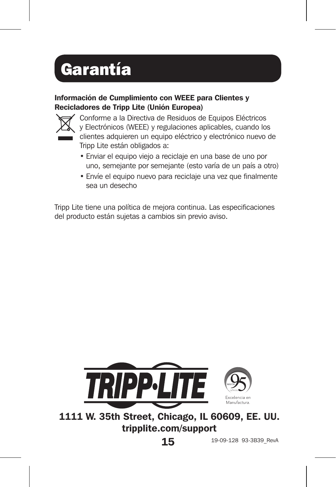# Garantía

#### Información de Cumplimiento con WEEE para Clientes y Recicladores de Tripp Lite (Unión Europea)



Conforme a la Directiva de Residuos de Equipos Eléctricos y Electrónicos (WEEE) y regulaciones aplicables, cuando los clientes adquieren un equipo eléctrico y electrónico nuevo de Tripp Lite están obligados a:

- Enviar el equipo viejo a reciclaje en una base de uno por uno, semejante por semejante (esto varía de un país a otro)
- Envíe el equipo nuevo para reciclaje una vez que finalmente sea un desecho

Tripp Lite tiene una política de mejora continua. Las especificaciones del producto están sujetas a cambios sin previo aviso.



1111 W. 35th Street, Chicago, IL 60609, EE. UU. tripplite.com/support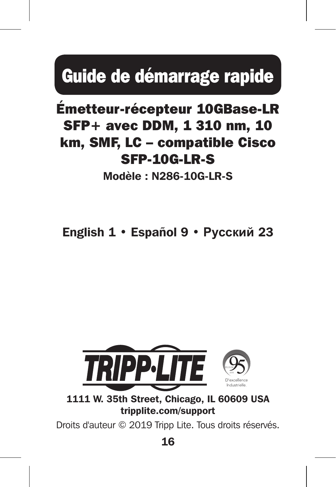# Guide de démarrage rapide

### Émetteur-récepteur 10GBase-LR SFP+ avec DDM, 1 310 nm, 10 km, SMF, LC – compatible Cisco SFP-10G-LR-S

Modèle : N286-10G-LR-S

English 1 • Español 9 • **Русский** 23



1111 W. 35th Street, Chicago, IL 60609 USA tripplite.com/support

Droits d'auteur © 2019 Tripp Lite. Tous droits réservés.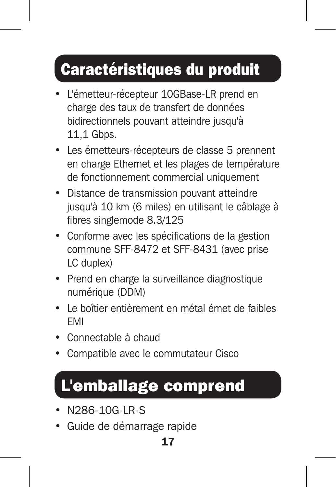### Caractéristiques du produit

- L'émetteur-récepteur 10GBase-LR prend en charge des taux de transfert de données bidirectionnels pouvant atteindre jusqu'à 11,1 Gbps.
- Les émetteurs-récepteurs de classe 5 prennent en charge Ethernet et les plages de température de fonctionnement commercial uniquement
- Distance de transmission pouvant atteindre jusqu'à 10 km (6 miles) en utilisant le câblage à fibres singlemode 8.3/125
- Conforme avec les spécifications de la gestion commune SFF-8472 et SFF-8431 (avec prise LC duplex)
- Prend en charge la surveillance diagnostique numérique (DDM)
- Le boîtier entièrement en métal émet de faibles EMI
- Connectable à chaud
- Compatible avec le commutateur Cisco

### L'emballage comprend

- N286-10G-LR-S
- Guide de démarrage rapide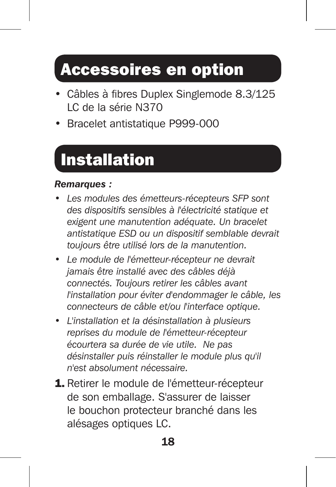### Accessoires en option

- Câbles à fibres Duplex Singlemode 8.3/125 LC de la série N370
- Bracelet antistatique P999-000

# Installation

#### *Remarques :*

- *• Les modules des émetteurs-récepteurs SFP sont des dispositifs sensibles à l'électricité statique et exigent une manutention adéquate. Un bracelet antistatique ESD ou un dispositif semblable devrait toujours être utilisé lors de la manutention.*
- *Le module de l'émetteur-récepteur ne devrait jamais être installé avec des câbles déjà connectés. Toujours retirer les câbles avant l'installation pour éviter d'endommager le câble, les connecteurs de câble et/ou l'interface optique.*
- *L'installation et la désinstallation à plusieurs reprises du module de l'émetteur-récepteur écourtera sa durée de vie utile. Ne pas désinstaller puis réinstaller le module plus qu'il n'est absolument nécessaire.*
- 1. Retirer le module de l'émetteur-récepteur de son emballage. S'assurer de laisser le bouchon protecteur branché dans les alésages optiques LC.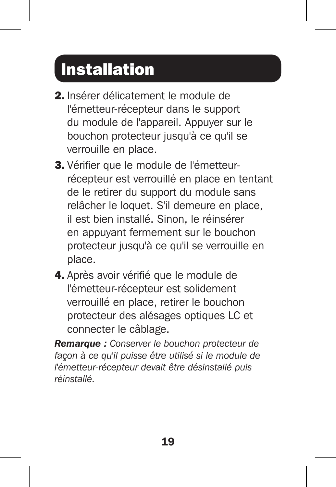## Installation

- 2. Insérer délicatement le module de l'émetteur-récepteur dans le support du module de l'appareil. Appuyer sur le bouchon protecteur jusqu'à ce qu'il se verrouille en place.
- 3. Vérifier que le module de l'émetteurrécepteur est verrouillé en place en tentant de le retirer du support du module sans relâcher le loquet. S'il demeure en place, il est bien installé. Sinon, le réinsérer en appuyant fermement sur le bouchon protecteur jusqu'à ce qu'il se verrouille en place.
- 4. Après avoir vérifié que le module de l'émetteur-récepteur est solidement verrouillé en place, retirer le bouchon protecteur des alésages optiques LC et connecter le câblage.

*Remarque : Conserver le bouchon protecteur de façon à ce qu'il puisse être utilisé si le module de l'émetteur-récepteur devait être désinstallé puis réinstallé.*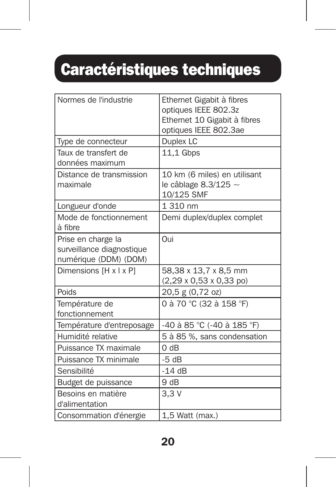# Caractéristiques techniques

| Normes de l'industrie                                                    | Ethernet Gigabit à fibres<br>optiques IEEE 802.3z<br>Ethernet 10 Gigabit à fibres<br>optiques IEEE 802.3ae |
|--------------------------------------------------------------------------|------------------------------------------------------------------------------------------------------------|
| Type de connecteur                                                       | Duplex LC                                                                                                  |
| Taux de transfert de<br>données maximum                                  | 11,1 Gbps                                                                                                  |
| Distance de transmission<br>maximale                                     | 10 km (6 miles) en utilisant<br>le câblage 8.3/125 $\sim$<br>10/125 SMF                                    |
| Longueur d'onde                                                          | 1 310 nm                                                                                                   |
| Mode de fonctionnement<br>à fibre                                        | Demi duplex/duplex complet                                                                                 |
| Prise en charge la<br>surveillance diagnostique<br>numérique (DDM) (DOM) | Oui                                                                                                        |
| Dimensions [H x I x P]                                                   | 58,38 x 13,7 x 8,5 mm<br>$(2,29 \times 0,53 \times 0,33 \text{ po})$                                       |
| Poids                                                                    | 20,5 g (0,72 oz)                                                                                           |
| Température de<br>fonctionnement                                         | 0 à 70 °C (32 à 158 °F)                                                                                    |
| Température d'entreposage                                                | -40 à 85 °C (-40 à 185 °F)                                                                                 |
| Humidité relative                                                        | 5 à 85 %, sans condensation                                                                                |
| Puissance TX maximale                                                    | 0 dB                                                                                                       |
| Puissance TX minimale                                                    | $-5dB$                                                                                                     |
| Sensibilité                                                              | $-14dB$                                                                                                    |
| Budget de puissance                                                      | 9 dB                                                                                                       |
| Besoins en matière<br>d'alimentation                                     | 3.3V                                                                                                       |
| Consommation d'énergie                                                   | 1,5 Watt (max.)                                                                                            |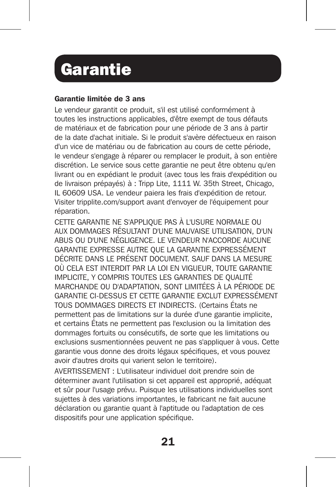### **Garantie**

#### Garantie limitée de 3 ans

Le vendeur garantit ce produit, s'il est utilisé conformément à toutes les instructions applicables, d'être exempt de tous défauts de matériaux et de fabrication pour une période de 3 ans à partir de la date d'achat initiale. Si le produit s'avère défectueux en raison d'un vice de matériau ou de fabrication au cours de cette période, le vendeur s'engage à réparer ou remplacer le produit, à son entière discrétion. Le service sous cette garantie ne peut être obtenu qu'en livrant ou en expédiant le produit (avec tous les frais d'expédition ou de livraison prépayés) à : Tripp Lite, 1111 W. 35th Street, Chicago, IL 60609 USA. Le vendeur paiera les frais d'expédition de retour. Visiter tripplite.com/support avant d'envoyer de l'équipement pour réparation.

CETTE GARANTIE NE S'APPLIQUE PAS À L'USURE NORMALE OU AUX DOMMAGES RÉSULTANT D'UNE MAUVAISE UTILISATION, D'UN ABUS OU D'UNE NÉGLIGENCE. LE VENDEUR N'ACCORDE AUCUNE GARANTIE EXPRESSE AUTRE QUE LA GARANTIE EXPRESSÉMENT DÉCRITE DANS LE PRÉSENT DOCUMENT. SAUF DANS LA MESURE OÙ CELA EST INTERDIT PAR LA LOI EN VIGUEUR, TOUTE GARANTIE IMPLICITE, Y COMPRIS TOUTES LES GARANTIES DE QUALITÉ MARCHANDE OU D'ADAPTATION, SONT LIMITÉES À LA PÉRIODE DE GARANTIE CI-DESSUS ET CETTE GARANTIE EXCLUT EXPRESSÉMENT TOUS DOMMAGES DIRECTS ET INDIRECTS. (Certains États ne permettent pas de limitations sur la durée d'une garantie implicite, et certains États ne permettent pas l'exclusion ou la limitation des dommages fortuits ou consécutifs, de sorte que les limitations ou exclusions susmentionnées peuvent ne pas s'appliquer à vous. Cette garantie vous donne des droits légaux spécifiques, et vous pouvez avoir d'autres droits qui varient selon le territoire).

AVERTISSEMENT : L'utilisateur individuel doit prendre soin de déterminer avant l'utilisation si cet appareil est approprié, adéquat et sûr pour l'usage prévu. Puisque les utilisations individuelles sont sujettes à des variations importantes, le fabricant ne fait aucune déclaration ou garantie quant à l'aptitude ou l'adaptation de ces dispositifs pour une application spécifique.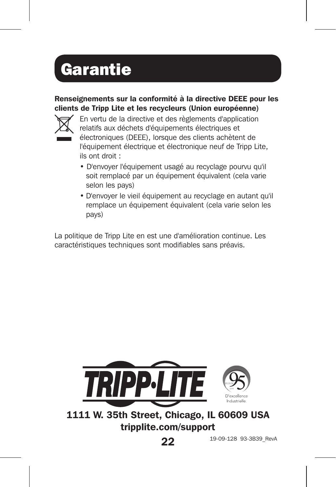## **Garantie**

#### Renseignements sur la conformité à la directive DEEE pour les clients de Tripp Lite et les recycleurs (Union européenne)



En vertu de la directive et des règlements d'application relatifs aux déchets d'équipements électriques et électroniques (DEEE), lorsque des clients achètent de l'équipement électrique et électronique neuf de Tripp Lite, ils ont droit :

- D'envoyer l'équipement usagé au recyclage pourvu qu'il soit remplacé par un équipement équivalent (cela varie selon les pays)
- D'envoyer le vieil équipement au recyclage en autant qu'il remplace un équipement équivalent (cela varie selon les pays)

La politique de Tripp Lite en est une d'amélioration continue. Les caractéristiques techniques sont modifiables sans préavis.



1111 W. 35th Street, Chicago, IL 60609 USA tripplite.com/support

22

19-09-128 93-3B39\_RevA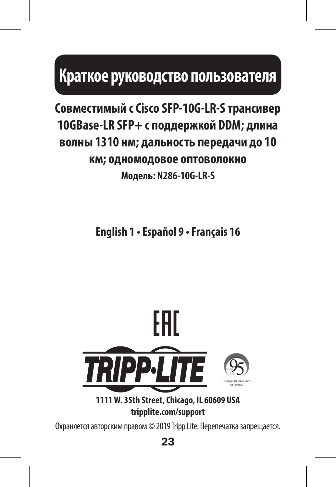## **Краткое руководство пользователя**

### **Совместимый с Cisco SFP-10G-LR-S трансивер 10GBase-LR SFP+ с поддержкой DDM; длина волны 1310 нм; дальность передачи до 10 км; одномодовое оптоволокно Модель: N286-10G-LR-S**

**English 1 • Español 9 • Français 16**



**1111 W. 35th Street, Chicago, IL 60609 USA tripplite.com/support**

Охраняется авторским правом © 2019 Tripp Lite. Перепечатка запрещается.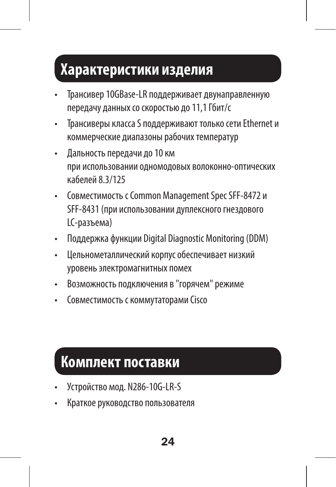### **Характеристики изделия**

- Трансивер 10GBase-LR поддерживает двунаправленную передачу данных со скоростью до 11,1 Гбит/с
- Трансиверы класса S поддерживают только сети Ethernet и коммерческие диапазоны рабочих температур
- Дальность передачи до 10 км при использовании одномодовых волоконно-оптических кабелей 8.3/125
- Совместимость с Common Management Spec SFF-8472 и SFF-8431 (при использовании дуплексного гнездового LC-разъема)
- Поддержка функции Digital Diagnostic Monitoring (DDM)
- Цельнометаллический корпус обеспечивает низкий уровень электромагнитных помех
- Возможность подключения в "горячем" режиме
- Совместимость с коммутаторами Cisco

### **Комплект поставки**

- Устройство мод. N286-10G-LR-S
- Краткое руководство пользователя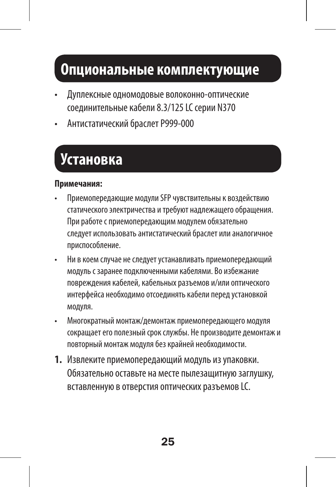### **Опциональные комплектующие**

- Дуплексные одномодовые волоконно-оптические соединительные кабели 8.3/125 LC серии N370
- Антистатический браслет P999-000

### **Установка**

#### **Примечания:**

- Приемопередающие модули SFP чувствительны к воздействию статического электричества и требуют надлежащего обращения. При работе с приемопередающим модулем обязательно следует использовать антистатический браслет или аналогичное приспособление.
- Ни в коем случае не следует устанавливать приемопередающий модуль с заранее подключенными кабелями. Во избежание повреждения кабелей, кабельных разъемов и/или оптического интерфейса необходимо отсоединять кабели перед установкой модуля.
- Многократный монтаж/демонтаж приемопередающего модуля сокращает его полезный срок службы. Не производите демонтаж и повторный монтаж модуля без крайней необходимости.
- **1.** Извлеките приемопередающий модуль из упаковки. Обязательно оставьте на месте пылезащитную заглушку, вставленную в отверстия оптических разъемов LC.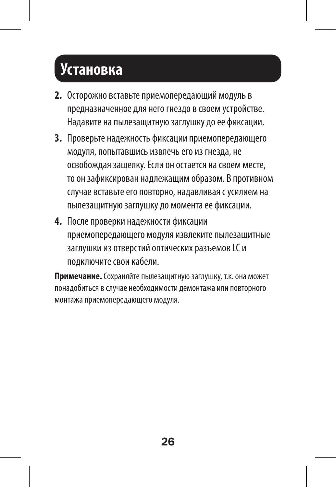### **Установка**

- **2.** Осторожно вставьте приемопередающий модуль в предназначенное для него гнездо в своем устройстве. Надавите на пылезащитную заглушку до ее фиксации.
- **3.** Проверьте надежность фиксации приемопередающего модуля, попытавшись извлечь его из гнезда, не освобождая защелку. Если он остается на своем месте, то он зафиксирован надлежащим образом. В противном случае вставьте его повторно, надавливая с усилием на пылезащитную заглушку до момента ее фиксации.
- **4.** После проверки надежности фиксации приемопередающего модуля извлеките пылезащитные заглушки из отверстий оптических разъемов LC и подключите свои кабели.

**Примечание.** Сохраняйте пылезащитную заглушку, т.к. она может понадобиться в случае необходимости демонтажа или повторного монтажа приемопередающего модуля.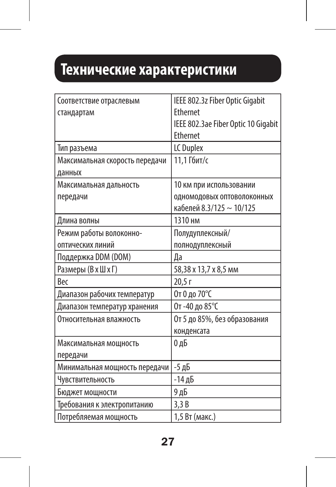### **Технические характеристики**

| Соответствие отраслевым        | IEEE 802.3z Fiber Optic Gigabit     |
|--------------------------------|-------------------------------------|
| стандартам                     | Ethernet                            |
|                                | IEEE 802.3ae Fiber Optic 10 Gigabit |
|                                | Ethernet                            |
| Тип разъема                    | LC Duplex                           |
| Максимальная скорость передачи | 11,1 Гбит/с                         |
| данных                         |                                     |
| Максимальная дальность         | 10 км при использовании             |
| передачи                       | ОДНОМОДОВЫХ ОПТОВОЛОКОННЫХ          |
|                                | кабелей 8.3/125 ~ 10/125            |
| Длина волны                    | 1310 нм                             |
| Режим работы волоконно-        | Полудуплексный/                     |
| оптических линий               | полнодуплексный                     |
| Поддержка DDM (DOM)            | Да                                  |
| Размеры (В х Ш х Г)            | 58,38 x 13,7 x 8,5 mm               |
| <b>Bec</b>                     | 20.5r                               |
| Диапазон рабочих температур    | От 0 до 70°С                        |
| Диапазон температур хранения   | От-40 до 85°С                       |
| Относительная влажность        | От 5 до 85%, без образования        |
|                                | конденсата                          |
| Максимальная мощность          | 0дБ                                 |
| передачи                       |                                     |
| Минимальная мощность передачи  | -5 дБ                               |
| Чувствительность               | -14 дБ                              |
| Бюджет мощности                | 9 дБ                                |
| Требования к электропитанию    | 3.3B                                |
| Потребляемая мощность          | 1.5 Вт (макс.)                      |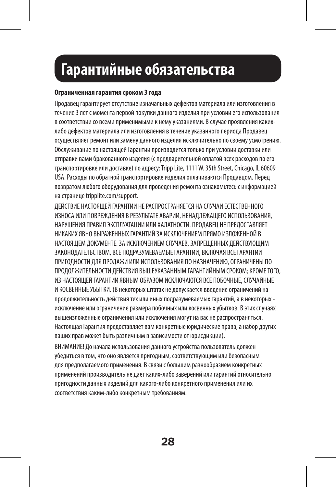### **Гарантийные обязательства**

#### **Ограниченная гарантия сроком 3 года**

Продавец гарантирует отсутствие изначальных дефектов материала или изготовления в течение 3 лет с момента первой покупки данного изделия при условии его использования в соответствии со всеми применимыми к нему указаниями. В случае проявления какихлибо дефектов материала или изготовления в течение указанного периода Продавец осуществляет ремонт или замену данного изделия исключительно по своему усмотрению. Обслуживание по настоящей Гарантии производится только при условии доставки или отправки вами бракованного изделия (с предварительной оплатой всех расходов по его транспортировке или доставке) по адресу: Tripp Lite, 1111 W. 35th Street, Chicago, IL 60609 USA. Расходы по обратной транспортировке изделия оплачиваются Продавцом. Перед возвратом любого оборудования для проведения ремонта ознакомьтесь с информацией на странице tripplite.com/support.

ДЕЙСТВИЕ НАСТОЯЩЕЙ ГАРАНТИИ НЕ РАСПРОСТРАНЯЕТСЯ НА СЛУЧАИ ЕСТЕСТВЕННОГО ИЗНОСА ИЛИ ПОВРЕЖДЕНИЯ В РЕЗУЛЬТАТЕ АВАРИИ, НЕНАДЛЕЖАЩЕГО ИСПОЛЬЗОВАНИЯ, НАРУШЕНИЯ ПРАВИЛ ЭКСПЛУАТАЦИИ ИЛИ ХАЛАТНОСТИ. ПРОДАВЕЦ НЕ ПРЕДОСТАВЛЯЕТ НИКАКИХ ЯВНО ВЫРАЖЕННЫХ ГАРАНТИЙ ЗА ИСКЛЮЧЕНИЕМ ПРЯМО ИЗЛОЖЕННОЙ В НАСТОЯЩЕМ ЛОКУМЕНТЕ. ЗА ИСКЛЮЧЕНИЕМ СЛУЧАЕВ, ЗАПРЕШЕННЫХ ЛЕЙСТВУЮЩИМ ЗАКОНОДАТЕЛЬСТВОМ, ВСЕ ПОДРАЗУМЕВАЕМЫЕ ГАРАНТИИ, ВКЛЮЧАЯ ВСЕ ГАРАНТИИ ПРИГОДНОСТИ ДЛЯ ПРОДАЖИ ИЛИ ИСПОЛЬЗОВАНИЯ ПО НАЗНАЧЕНИЮ, ОГРАНИЧЕНЫ ПО ПРОДОЛЖИТЕЛЬНОСТИ ДЕЙСТВИЯ ВЫШЕУКАЗАННЫМ ГАРАНТИЙНЫМ СРОКОМ; КРОМЕ ТОГО, ИЗ НАСТОЯЩЕЙ ГАРАНТИИ ЯВНЫМ ОБРАЗОМ ИСКЛЮЧАЮТСЯ ВСЕ ПОБОЧНЫЕ, СЛУЧАЙНЫЕ И КОСВЕННЫЕ УБЫТКИ. (В некоторых штатах не допускается введение ограничений на продолжительность действия тех или иных подразумеваемых гарантий, а в некоторых исключение или ограничение размера побочных или косвенных убытков. В этих случаях вышеизложенные ограничения или исключения могут на вас не распространяться. Настоящая Гарантия предоставляет вам конкретные юридические права, а набор других ваших прав может быть различным в зависимости от юрисдикции).

ВНИМАНИЕ! До начала использования данного устройства пользователь должен убедиться в том, что оно является пригодным, соответствующим или безопасным для предполагаемого применения. В связи с большим разнообразием конкретных применений производитель не дает каких-либо заверений или гарантий относительно пригодности данных изделий для какого-либо конкретного применения или их соответствия каким-либо конкретным требованиям.